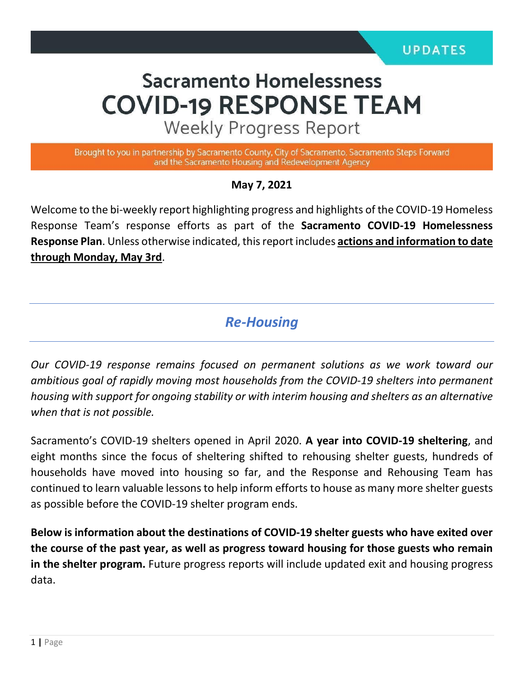# **Sacramento Homelessness COVID-19 RESPONSE TEAM**

**Weekly Progress Report** 

Brought to you in partnership by Sacramento County, City of Sacramento, Sacramento Steps Forward and the Sacramento Housing and Redevelopment Agency

#### **May 7, 2021**

Welcome to the bi-weekly report highlighting progress and highlights of the COVID-19 Homeless Response Team's response efforts as part of the **Sacramento COVID-19 Homelessness Response Plan**. Unless otherwise indicated, this report includes **actions and information to date through Monday, May 3rd**.

## *Re-Housing*

*Our COVID-19 response remains focused on permanent solutions as we work toward our ambitious goal of rapidly moving most households from the COVID-19 shelters into permanent housing with support for ongoing stability or with interim housing and shelters as an alternative when that is not possible.* 

Sacramento's COVID-19 shelters opened in April 2020. **A year into COVID-19 sheltering**, and eight months since the focus of sheltering shifted to rehousing shelter guests, hundreds of households have moved into housing so far, and the Response and Rehousing Team has continued to learn valuable lessons to help inform efforts to house as many more shelter guests as possible before the COVID-19 shelter program ends.

**Below is information about the destinations of COVID-19 shelter guests who have exited over the course of the past year, as well as progress toward housing for those guests who remain in the shelter program.** Future progress reports will include updated exit and housing progress data.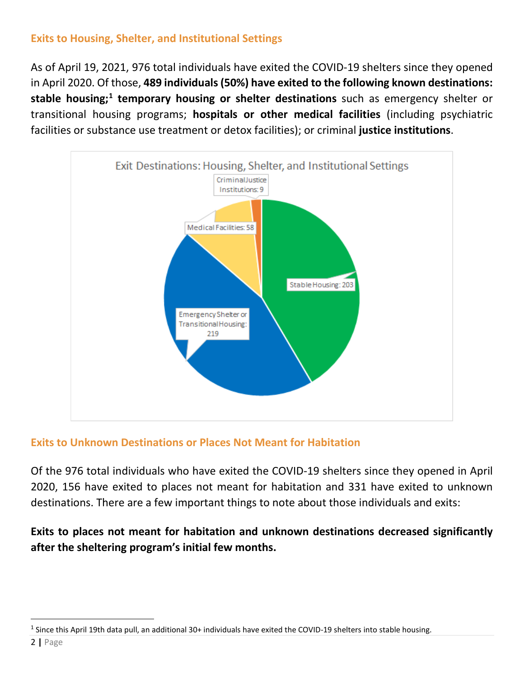### **Exits to Housing, Shelter, and Institutional Settings**

As of April 19, 2021, 976 total individuals have exited the COVID-19 shelters since they opened in April 2020. Of those, **489 individuals (50%) have exited to the following known destinations: stable housing;[1](#page-1-0) temporary housing or shelter destinations** such as emergency shelter or transitional housing programs; **hospitals or other medical facilities** (including psychiatric facilities or substance use treatment or detox facilities); or criminal **justice institutions**.



#### **Exits to Unknown Destinations or Places Not Meant for Habitation**

Of the 976 total individuals who have exited the COVID-19 shelters since they opened in April 2020, 156 have exited to places not meant for habitation and 331 have exited to unknown destinations. There are a few important things to note about those individuals and exits:

## **Exits to places not meant for habitation and unknown destinations decreased significantly after the sheltering program's initial few months.**

<span id="page-1-0"></span> $1$  Since this April 19th data pull, an additional 30+ individuals have exited the COVID-19 shelters into stable housing.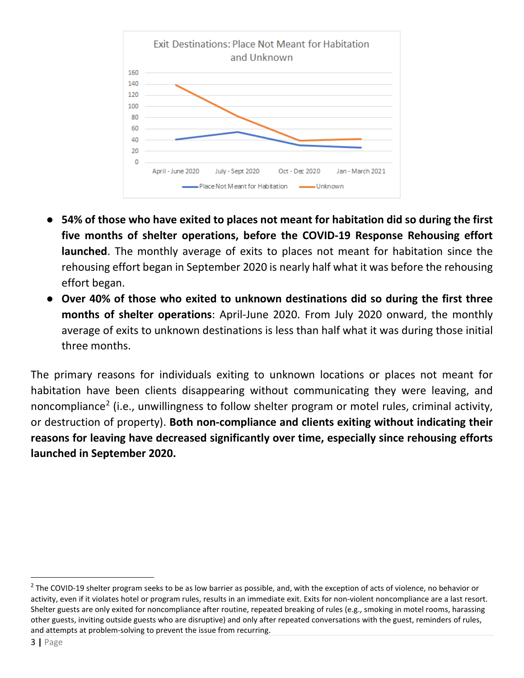

- **54% of those who have exited to places not meant for habitation did so during the first five months of shelter operations, before the COVID-19 Response Rehousing effort launched**. The monthly average of exits to places not meant for habitation since the rehousing effort began in September 2020 is nearly half what it was before the rehousing effort began.
- **Over 40% of those who exited to unknown destinations did so during the first three months of shelter operations**: April-June 2020. From July 2020 onward, the monthly average of exits to unknown destinations is less than half what it was during those initial three months.

The primary reasons for individuals exiting to unknown locations or places not meant for habitation have been clients disappearing without communicating they were leaving, and noncompliance<sup>[2](#page-2-0)</sup> (i.e., unwillingness to follow shelter program or motel rules, criminal activity, or destruction of property). **Both non-compliance and clients exiting without indicating their reasons for leaving have decreased significantly over time, especially since rehousing efforts launched in September 2020.**

<span id="page-2-0"></span> $2$  The COVID-19 shelter program seeks to be as low barrier as possible, and, with the exception of acts of violence, no behavior or activity, even if it violates hotel or program rules, results in an immediate exit. Exits for non-violent noncompliance are a last resort. Shelter guests are only exited for noncompliance after routine, repeated breaking of rules (e.g., smoking in motel rooms, harassing other guests, inviting outside guests who are disruptive) and only after repeated conversations with the guest, reminders of rules, and attempts at problem-solving to prevent the issue from recurring.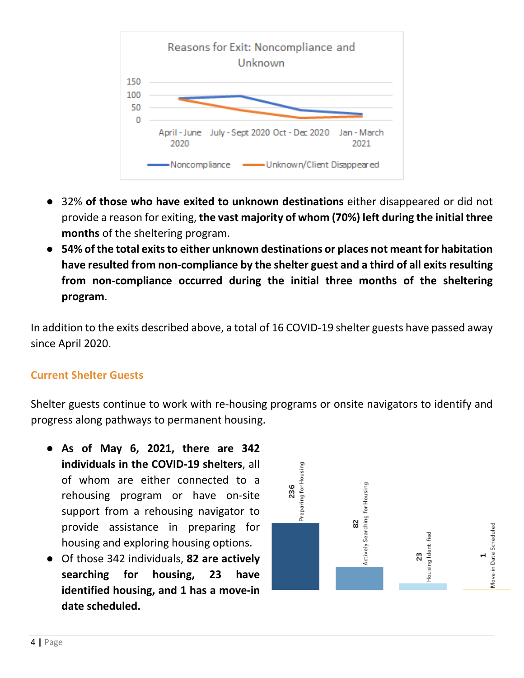

- 32% **of those who have exited to unknown destinations** either disappeared or did not provide a reason for exiting, **the vast majority of whom (70%) left during the initial three months** of the sheltering program.
- **54% of the total exits to either unknown destinations or places not meant for habitation have resulted from non-compliance by the shelter guest and a third of all exits resulting from non-compliance occurred during the initial three months of the sheltering program**.

In addition to the exits described above, a total of 16 COVID-19 shelter guests have passed away since April 2020.

#### **Current Shelter Guests**

Shelter guests continue to work with re-housing programs or onsite navigators to identify and progress along pathways to permanent housing.

- **As of May 6, 2021, there are 342 individuals in the COVID-19 shelters**, all of whom are either connected to a rehousing program or have on-site support from a rehousing navigator to provide assistance in preparing for housing and exploring housing options.
- Of those 342 individuals, **82 are actively searching for housing, 23 have identified housing, and 1 has a move-in date scheduled.**

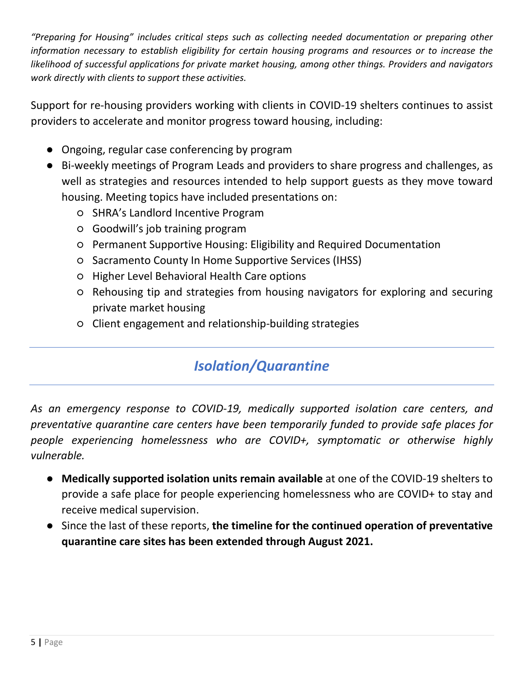*"Preparing for Housing" includes critical steps such as collecting needed documentation or preparing other information necessary to establish eligibility for certain housing programs and resources or to increase the likelihood of successful applications for private market housing, among other things. Providers and navigators work directly with clients to support these activities.*

Support for re-housing providers working with clients in COVID-19 shelters continues to assist providers to accelerate and monitor progress toward housing, including:

- Ongoing, regular case conferencing by program
- Bi-weekly meetings of Program Leads and providers to share progress and challenges, as well as strategies and resources intended to help support guests as they move toward housing. Meeting topics have included presentations on:
	- SHRA's Landlord Incentive Program
	- Goodwill's job training program
	- Permanent Supportive Housing: Eligibility and Required Documentation
	- Sacramento County In Home Supportive Services (IHSS)
	- Higher Level Behavioral Health Care options
	- Rehousing tip and strategies from housing navigators for exploring and securing private market housing
	- Client engagement and relationship-building strategies

# *Isolation/Quarantine*

*As an emergency response to COVID-19, medically supported isolation care centers, and preventative quarantine care centers have been temporarily funded to provide safe places for people experiencing homelessness who are COVID+, symptomatic or otherwise highly vulnerable.*

- **Medically supported isolation units remain available** at one of the COVID-19 shelters to provide a safe place for people experiencing homelessness who are COVID+ to stay and receive medical supervision.
- Since the last of these reports, **the timeline for the continued operation of preventative quarantine care sites has been extended through August 2021.**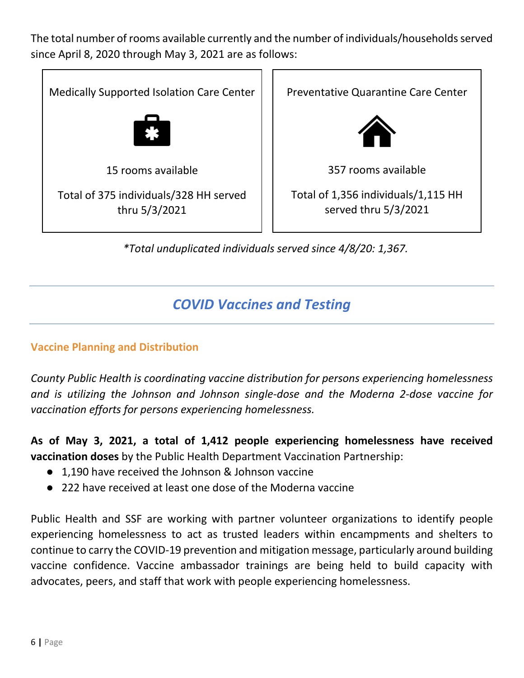The total number of rooms available currently and the number of individuals/households served since April 8, 2020 through May 3, 2021 are as follows:



## *COVID Vaccines and Testing*

#### **Vaccine Planning and Distribution**

*County Public Health is coordinating vaccine distribution for persons experiencing homelessness and is utilizing the Johnson and Johnson single-dose and the Moderna 2-dose vaccine for vaccination efforts for persons experiencing homelessness.* 

**As of May 3, 2021, a total of 1,412 people experiencing homelessness have received vaccination doses** by the Public Health Department Vaccination Partnership:

- 1,190 have received the Johnson & Johnson vaccine
- 222 have received at least one dose of the Moderna vaccine

Public Health and SSF are working with partner volunteer organizations to identify people experiencing homelessness to act as trusted leaders within encampments and shelters to continue to carry the COVID-19 prevention and mitigation message, particularly around building vaccine confidence. Vaccine ambassador trainings are being held to build capacity with advocates, peers, and staff that work with people experiencing homelessness.